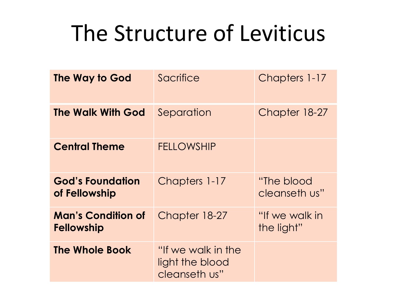## The Structure of Leviticus

| The Way to God                                 | Sacrifice                                              | Chapters 1-17                |
|------------------------------------------------|--------------------------------------------------------|------------------------------|
| <b>The Walk With God</b>                       | Separation                                             | Chapter 18-27                |
| <b>Central Theme</b>                           | <b>FELLOWSHIP</b>                                      |                              |
| <b>God's Foundation</b><br>of Fellowship       | Chapters 1-17                                          | "The blood"<br>cleanseth us" |
| <b>Man's Condition of</b><br><b>Fellowship</b> | Chapter 18-27                                          | "If we walk in<br>the light" |
| <b>The Whole Book</b>                          | "If we walk in the<br>light the blood<br>cleanseth us" |                              |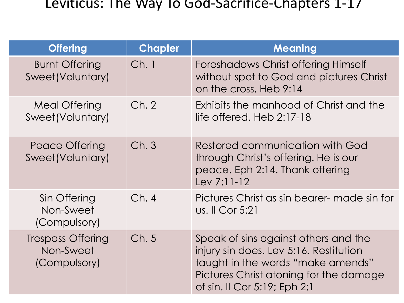## Leviticus: The Way To God-Sacrifice-Chapters 1-17

| <b>Offering</b>                                       | <b>Chapter</b> | <b>Meaning</b>                                                                                                                                                                                |
|-------------------------------------------------------|----------------|-----------------------------------------------------------------------------------------------------------------------------------------------------------------------------------------------|
| <b>Burnt Offering</b><br>Sweet(Voluntary)             | Ch.1           | Foreshadows Christ offering Himself<br>without spot to God and pictures Christ<br>on the cross. Heb 9:14                                                                                      |
| Meal Offering<br>Sweet(Voluntary)                     | Ch. 2          | Exhibits the manhood of Christ and the<br>life offered. Heb $2:17-18$                                                                                                                         |
| Peace Offering<br>Sweet(Voluntary)                    | Ch.3           | Restored communication with God<br>through Christ's offering. He is our<br>peace. Eph 2:14. Thank offering<br>$Lev 7:11-12$                                                                   |
| Sin Offering<br>Non-Sweet<br>(Compulsory)             | Ch.4           | Pictures Christ as sin bearer- made sin for<br><u>us.</u> II Cor 5:21                                                                                                                         |
| <b>Trespass Offering</b><br>Non-Sweet<br>(Compulsory) | Ch.5           | Speak of sins against others and the<br>injury sin does. Lev 5:16. Restitution<br>taught in the words "make amends"<br>Pictures Christ atoning for the damage<br>of sin. Il Cor 5:19; Eph 2:1 |